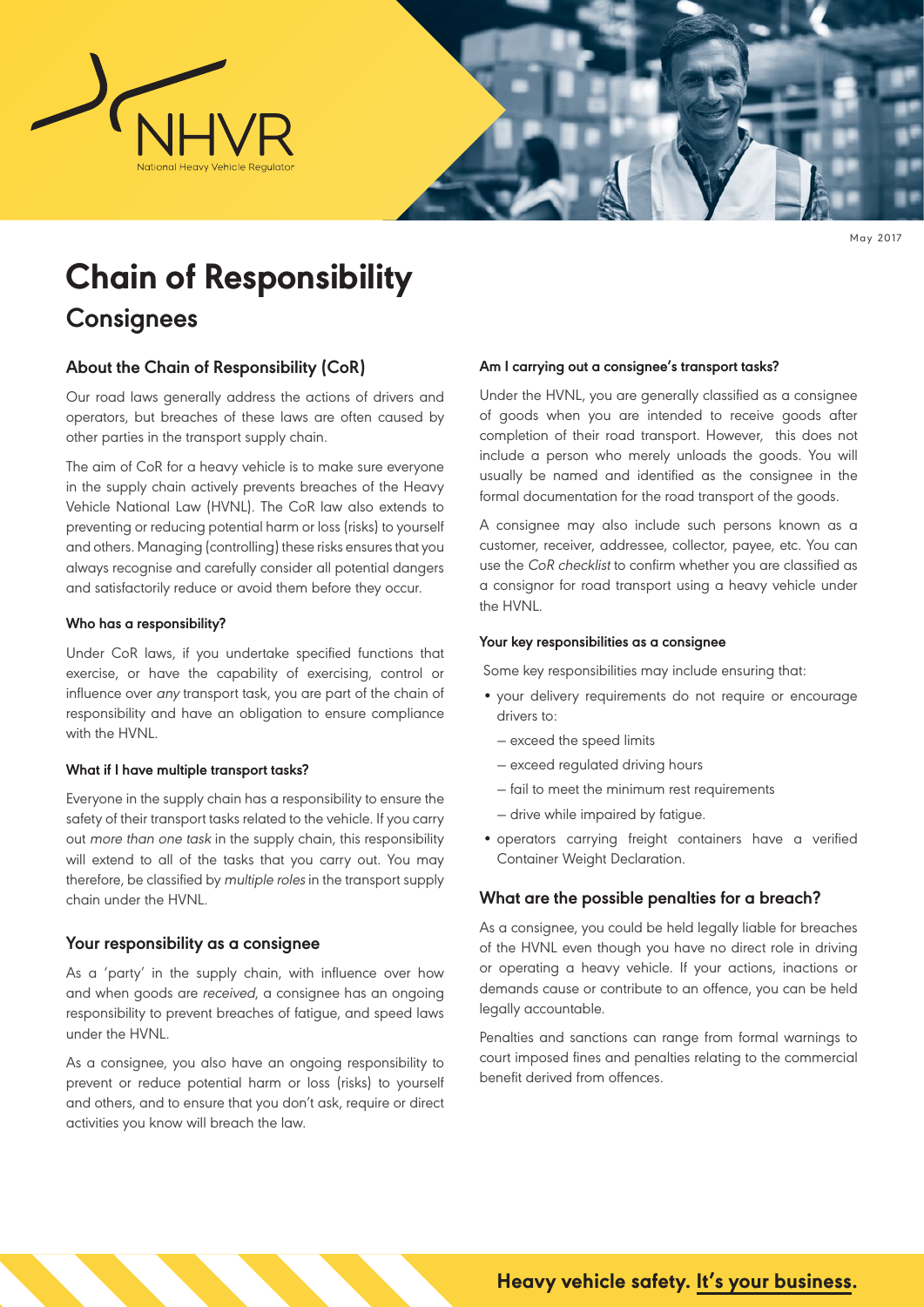

May 2017

# **Chain of Responsibility Consignees**

# **About the Chain of Responsibility (CoR)**

Our road laws generally address the actions of drivers and operators, but breaches of these laws are often caused by other parties in the transport supply chain.

The aim of CoR for a heavy vehicle is to make sure everyone in the supply chain actively prevents breaches of the Heavy Vehicle National Law (HVNL). The CoR law also extends to preventing or reducing potential harm or loss (risks) to yourself and others. Managing (controlling) these risks ensures that you always recognise and carefully consider all potential dangers and satisfactorily reduce or avoid them before they occur.

## **Who has a responsibility?**

Under CoR laws, if you undertake specified functions that exercise, or have the capability of exercising, control or influence over any transport task, you are part of the chain of responsibility and have an obligation to ensure compliance with the HVNL.

## **What if I have multiple transport tasks?**

Everyone in the supply chain has a responsibility to ensure the safety of their transport tasks related to the vehicle. If you carry out more than one task in the supply chain, this responsibility will extend to all of the tasks that you carry out. You may therefore, be classified by multiple roles in the transport supply chain under the HVNL.

## **Your responsibility as a consignee**

As a 'party' in the supply chain, with influence over how and when goods are received, a consignee has an ongoing responsibility to prevent breaches of fatigue, and speed laws under the HVNL.

As a consignee, you also have an ongoing responsibility to prevent or reduce potential harm or loss (risks) to yourself and others, and to ensure that you don't ask, require or direct activities you know will breach the law.

## **Am I carrying out a consignee's transport tasks?**

Under the HVNL, you are generally classified as a consignee of goods when you are intended to receive goods after completion of their road transport. However, this does not include a person who merely unloads the goods. You will usually be named and identified as the consignee in the formal documentation for the road transport of the goods.

A consignee may also include such persons known as a customer, receiver, addressee, collector, payee, etc. You can use the CoR checklist to confirm whether you are classified as a consignor for road transport using a heavy vehicle under the HVNL.

#### **Your key responsibilities as a consignee**

Some key responsibilities may include ensuring that:

- your delivery requirements do not require or encourage drivers to:
	- ― exceed the speed limits
	- ― exceed regulated driving hours
	- ― fail to meet the minimum rest requirements
	- ― drive while impaired by fatigue.
- operators carrying freight containers have a verified Container Weight Declaration.

## **What are the possible penalties for a breach?**

As a consignee, you could be held legally liable for breaches of the HVNL even though you have no direct role in driving or operating a heavy vehicle. If your actions, inactions or demands cause or contribute to an offence, you can be held legally accountable.

Penalties and sanctions can range from formal warnings to court imposed fines and penalties relating to the commercial benefit derived from offences.

**Heavy vehicle safety. It's your business.**